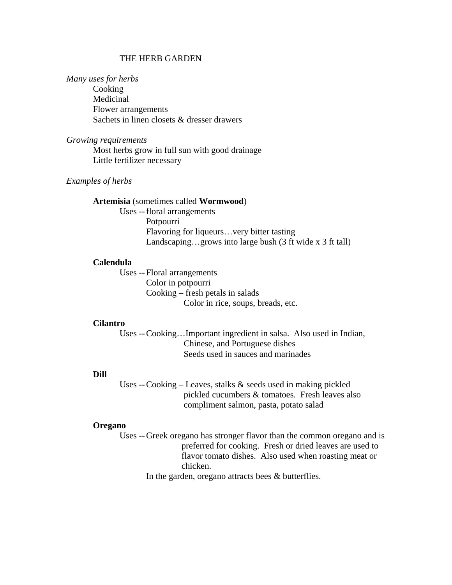## THE HERB GARDEN

#### *Many uses for herbs*

 Cooking Medicinal Flower arrangements Sachets in linen closets & dresser drawers

#### *Growing requirements*

 Most herbs grow in full sun with good drainage Little fertilizer necessary

#### *Examples of herbs*

### **Artemisia** (sometimes called **Wormwood**)

 Uses -- floral arrangements Potpourri Flavoring for liqueurs…very bitter tasting Landscaping…grows into large bush (3 ft wide x 3 ft tall)

#### **Calendula**

 Uses -- Floral arrangements Color in potpourri Cooking – fresh petals in salads Color in rice, soups, breads, etc.

#### **Cilantro**

 Uses -- Cooking…Important ingredient in salsa. Also used in Indian, Chinese, and Portuguese dishes Seeds used in sauces and marinades

## **Dill**

 Uses -- Cooking – Leaves, stalks & seeds used in making pickled pickled cucumbers & tomatoes. Fresh leaves also compliment salmon, pasta, potato salad

# **Oregano**

 Uses -- Greek oregano has stronger flavor than the common oregano and is preferred for cooking. Fresh or dried leaves are used to flavor tomato dishes. Also used when roasting meat or chicken.

In the garden, oregano attracts bees & butterflies.